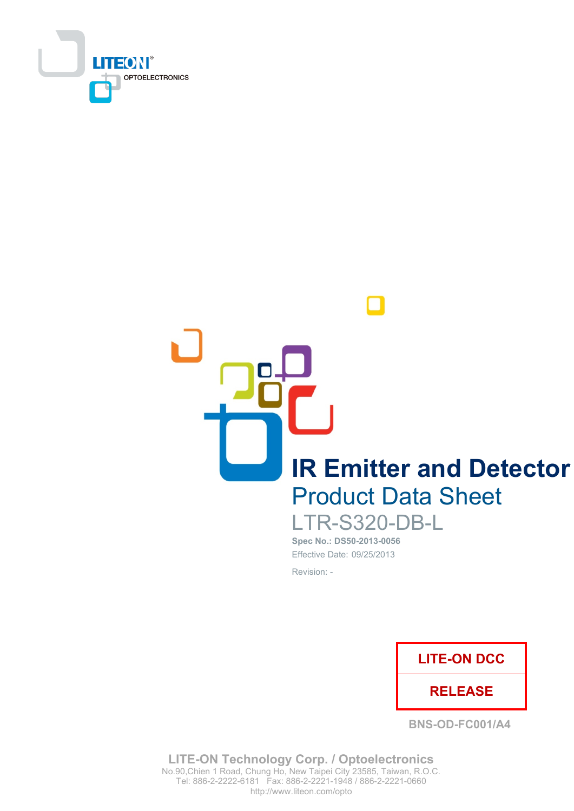

**IR Emitter and Detector Product Data Sheet** 

**LTR-S320-DB-L** Spec No.: DS50-2013-0056 Effective Date: 09/25/2013

Revision: -



**BNS-OD-FC001/A4** 

**LITE-ON Technology Corp. / Optoelectronics** No.90, Chien 1 Road, Chung Ho, New Taipei City 23585, Taiwan, R.O.C. Tel: 886-2-2222-6181 Fax: 886-2-2221-1948 / 886-2-2221-0660 http://www.liteon.com/opto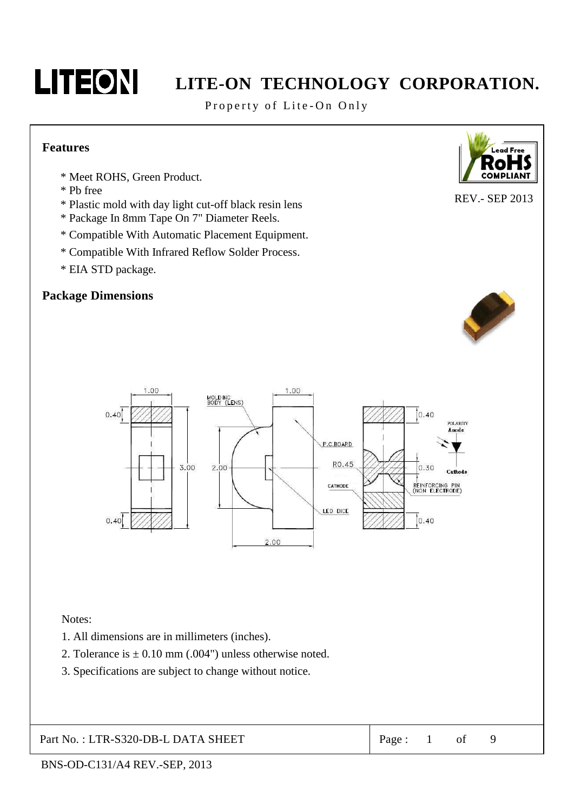

Property of Lite-On Only

#### **Features**

- \* Meet ROHS, Green Product.
- \* Pb free
- \* Plastic mold with day light cut-off black resin lens
- \* Package In 8mm Tape On 7" Diameter Reels.
- \* Compatible With Automatic Placement Equipment.
- \* Compatible With Infrared Reflow Solder Process.
- \* EIA STD package.

## **Package Dimensions**





Notes:

- 1. All dimensions are in millimeters (inches).
- 2. Tolerance is  $\pm$  0.10 mm (.004") unless otherwise noted.
- 3. Specifications are subject to change without notice.

Part No.: LTR-S320-DB-L DATA SHEET

Page:  $\mathbf{1}$ of



**REV.- SEP 2013** 

9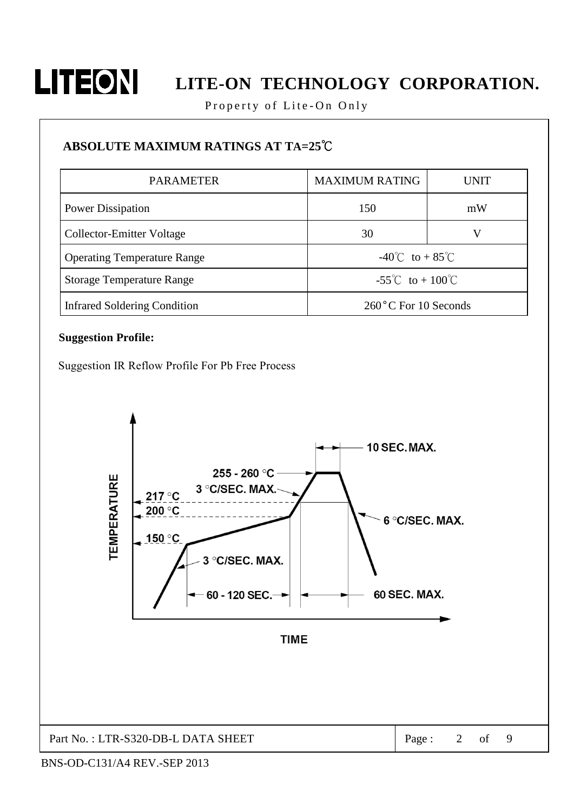

Property of Lite-On Only

## **ABSOLUTE MAXIMUM RATINGS AT TA=25°C**

| <b>PARAMETER</b>                    | <b>MAXIMUM RATING</b><br>UNIT           |    |  |
|-------------------------------------|-----------------------------------------|----|--|
| <b>Power Dissipation</b>            | 150                                     | mW |  |
| Collector-Emitter Voltage           | 30                                      | V  |  |
| <b>Operating Temperature Range</b>  | $-40^{\circ}$ C to + 85 <sup>°</sup> C  |    |  |
| <b>Storage Temperature Range</b>    | $-55^{\circ}$ C to + 100 <sup>°</sup> C |    |  |
| <b>Infrared Soldering Condition</b> | 260°C For 10 Seconds                    |    |  |

#### **Suggestion Profile:**

Suggestion IR Reflow Profile For Pb Free Process

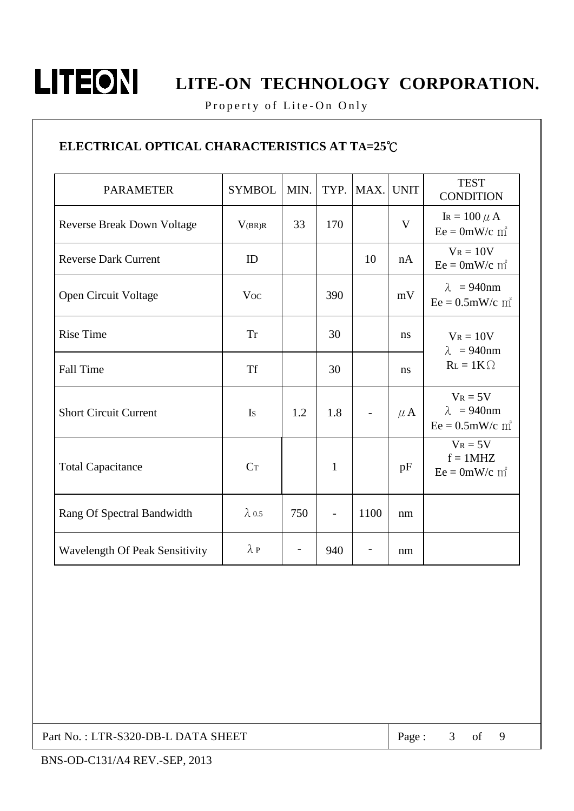

Property of Lite-On Only

## ELECTRICAL OPTICAL CHARACTERISTICS AT TA=25°C

| <b>PARAMETER</b>                      | <b>SYMBOL</b>  | MIN. | TYP. | MAX. | <b>UNIT</b> | <b>TEST</b><br><b>CONDITION</b>                                    |
|---------------------------------------|----------------|------|------|------|-------------|--------------------------------------------------------------------|
| <b>Reverse Break Down Voltage</b>     | V(BR)R         | 33   | 170  |      | V           | IR = $100 \mu$ A<br>$Ee = 0mW/c$ m <sup>2</sup>                    |
| <b>Reverse Dark Current</b>           | ID             |      |      | 10   | nA          | $V_R = 10V$<br>$Ee = 0mW/c$ m <sup>2</sup>                         |
| Open Circuit Voltage                  | <b>Voc</b>     |      | 390  |      | mV          | $\lambda$ = 940nm<br>$Ee = 0.5$ mW/c m <sup>2</sup>                |
| <b>Rise Time</b>                      | <b>Tr</b>      |      | 30   |      | ns          | $V_R = 10V$<br>$\lambda$ = 940nm                                   |
| <b>Fall Time</b>                      | <b>Tf</b>      |      | 30   |      | ns          | $R_L = 1K\Omega$                                                   |
| <b>Short Circuit Current</b>          | Is             | 1.2  | 1.8  |      | $\mu$ A     | $V_R = 5V$<br>$\lambda = 940$ nm<br>$Ee = 0.5$ mW/c m <sup>2</sup> |
| <b>Total Capacitance</b>              | C <sub>T</sub> |      | 1    |      | pF          | $V_R = 5V$<br>$f = 1MHz$<br>$Ee = 0mW/c$ m <sup>2</sup>            |
| Rang Of Spectral Bandwidth            | $\lambda$ 0.5  | 750  |      | 1100 | nm          |                                                                    |
| <b>Wavelength Of Peak Sensitivity</b> | $\lambda P$    |      | 940  |      | nm          |                                                                    |

Part No.: LTR-S320-DB-L DATA SHEET

9 Page:  $3$  of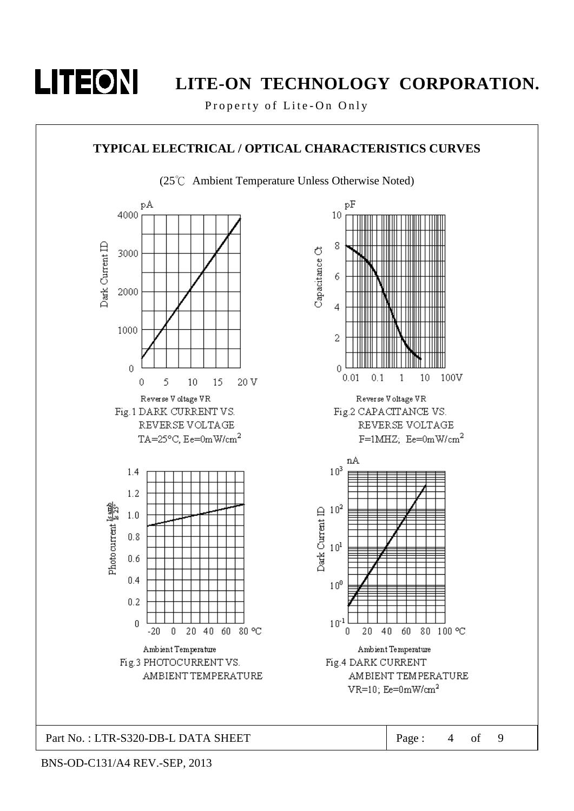

Property of Lite-On Only

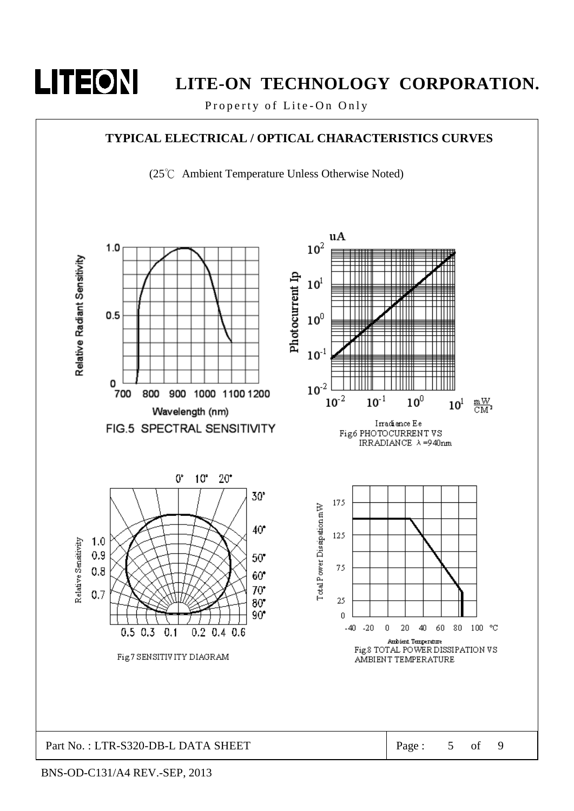

Property of Lite-On Only

## **TYPICAL ELECTRICAL / OPTICAL CHARACTERISTICS CURVES**

(25℃ Ambient Temperature Unless Otherwise Noted)

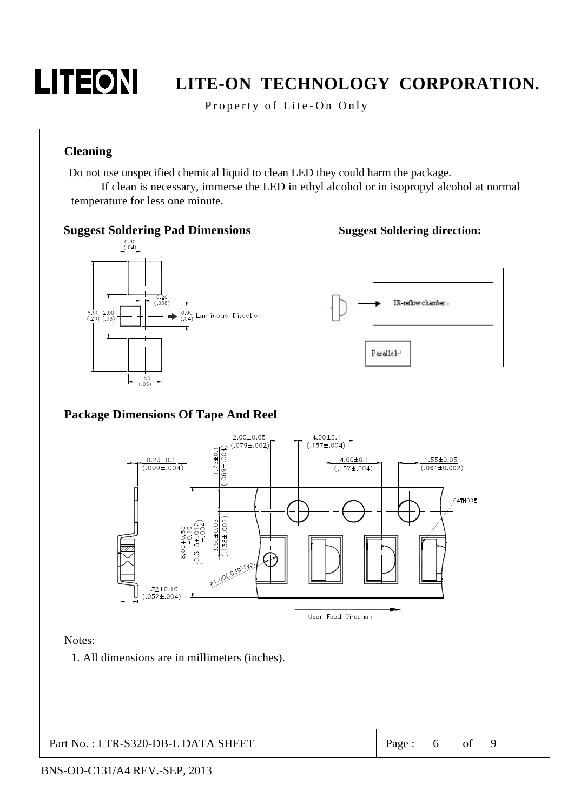

Property of Lite-On Only

### **Cleaning**

Do not use unspecified chemical liquid to clean LED they could harm the package.

If clean is necessary, immerse the LED in ethyl alcohol or in isopropyl alcohol at normal temperature for less one minute.



### **Suggest Soldering direction:**



## **Package Dimensions Of Tape And Reel**



#### Notes:

1. All dimensions are in millimeters (inches).

Part No.: LTR-S320-DB-L DATA SHEET

9 Page: 6 of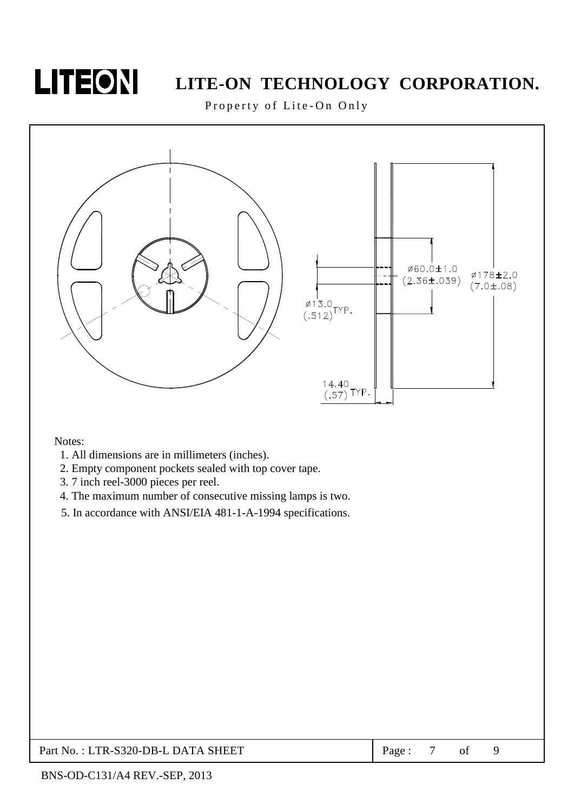

Property of Lite-On Only



Notes:

- 1. All dimensions are in millimeters (inches).
- 2. Empty component pockets sealed with top cover tape.
- 3.7 inch reel-3000 pieces per reel.
- 4. The maximum number of consecutive missing lamps is two.
- 5. In accordance with ANSI/EIA 481-1-A-1994 specifications.

### Part No.: LTR-S320-DB-L DATA SHEET

 $7\phantom{.0}$ 9 Page: of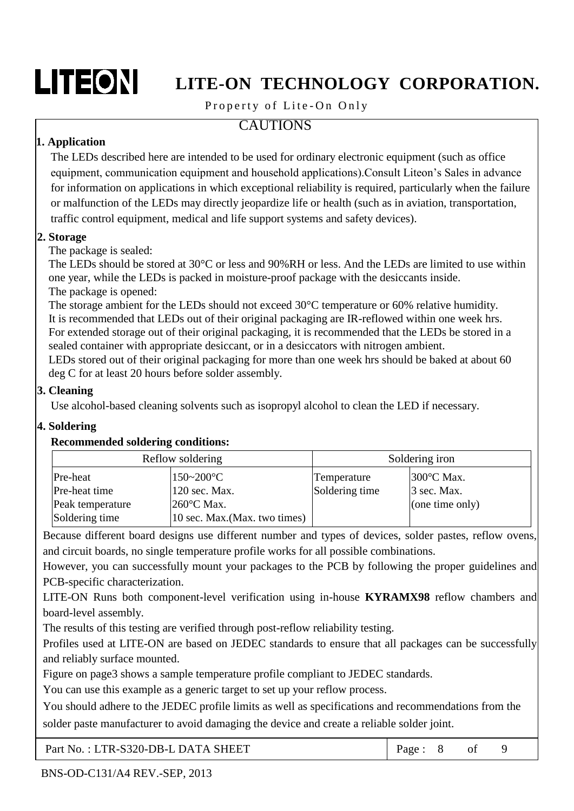# LITEON

# LITE-ON TECHNOLOGY CORPORATION.

## Property of Lite-On Only

## **CAUTIONS**

## 1. Application

The LEDs described here are intended to be used for ordinary electronic equipment (such as office equipment, communication equipment and household applications). Consult Liteon's Sales in advance for information on applications in which exceptional reliability is required, particularly when the failure or malfunction of the LEDs may directly jeopardize life or health (such as in aviation, transportation, traffic control equipment, medical and life support systems and safety devices).

## 2. Storage

The package is sealed:

The LEDs should be stored at 30 °C or less and 90%RH or less. And the LEDs are limited to use within one year, while the LEDs is packed in moisture-proof package with the desiccants inside. The package is opened:

The storage ambient for the LEDs should not exceed  $30^{\circ}$ C temperature or 60% relative humidity. It is recommended that LEDs out of their original packaging are IR-reflowed within one week hrs. For extended storage out of their original packaging, it is recommended that the LEDs be stored in a sealed container with appropriate desiccant, or in a desiccators with nitrogen ambient.

LEDs stored out of their original packaging for more than one week hrs should be baked at about 60 deg C for at least 20 hours before solder assembly.

## 3. Cleaning

Use alcohol-based cleaning solvents such as isopropyl alcohol to clean the LED if necessary.

## 4. Soldering

### **Recommended soldering conditions:**

| Reflow soldering |                               | Soldering iron |                   |  |  |
|------------------|-------------------------------|----------------|-------------------|--|--|
| Pre-heat         | $150 - 200$ °C                | Temperature    | 300 °С Мах.       |  |  |
| Pre-heat time    | 120 sec. Max.                 | Soldering time | $\beta$ sec. Max. |  |  |
| Peak temperature | $260^{\circ}$ C Max.          |                | (one time only)   |  |  |
| Soldering time   | 10 sec. Max. (Max. two times) |                |                   |  |  |

Because different board designs use different number and types of devices, solder pastes, reflow ovens, and circuit boards, no single temperature profile works for all possible combinations.

However, you can successfully mount your packages to the PCB by following the proper guidelines and PCB-specific characterization.

LITE-ON Runs both component-level verification using in-house **KYRAMX98** reflow chambers and board-level assembly.

The results of this testing are verified through post-reflow reliability testing.

Profiles used at LITE-ON are based on JEDEC standards to ensure that all packages can be successfully and reliably surface mounted.

Figure on page3 shows a sample temperature profile compliant to JEDEC standards.

You can use this example as a generic target to set up your reflow process.

You should adhere to the JEDEC profile limits as well as specifications and recommendations from the

solder paste manufacturer to avoid damaging the device and create a reliable solder joint.

| Part No.: LTR-S320-DB-L DATA SHEET | Page: 8 of |  |  |  |  |
|------------------------------------|------------|--|--|--|--|
|------------------------------------|------------|--|--|--|--|